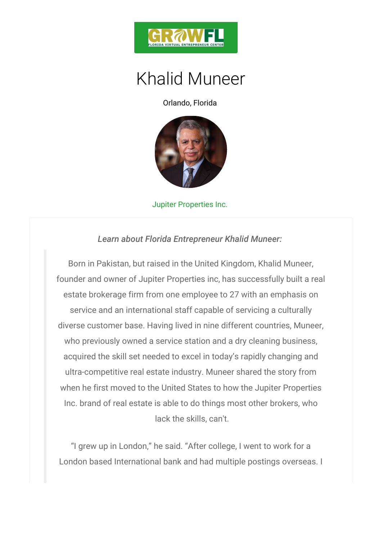

## Khalid Muneer

Orlando, Florida

## Jupiter Properties Inc.

Learn about Florida Entrepreneur Khalid Mune

Born in Pakistan, but raised in the United Kingdom, founder and owner of Jupiter Properties inc, has succ estate brokerage firm from one employee to 27 with and service and an international staff capable of servici diverse customer base. Having lived in nine different who previously owned a service station and a dry cle acquired the skill set needed to excel in today s rapi ultra-competitive real estate industry. Muneer share when he first moved to the United States to how the Jupiter Inc. brand of real estate is able to do things most ot lack the skills, can't.

I grew up in London, he said. After college, I wer London based International bank and had multiple pos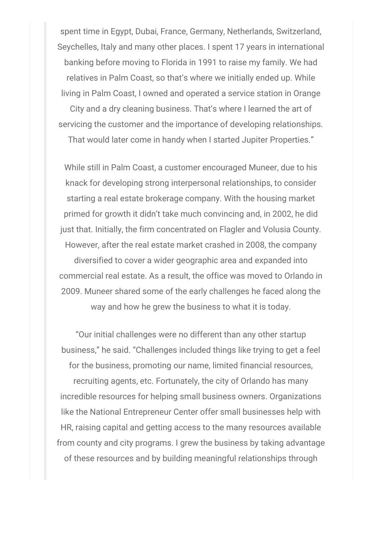spent time in Egypt, Dubai, France, Germany, Netherlands, Switzerland, Seychelles, Italy and many other places. I spent 17 years in international banking before moving to Florida in 1991 to raise my family. We had relatives in Palm Coast, so that's where we initially ended up. While living in Palm Coast, I owned and operated a service station in Orange

City and a dry cleaning business. That's where I learned the art of servicing the customer and the importance of developing relationships. That would later come in handy when I started Jupiter Properties."

While still in Palm Coast, a customer encouraged Muneer, due to his knack for developing strong interpersonal relationships, to consider starting a real estate brokerage company. With the housing market primed for growth it didn't take much convincing and, in 2002, he did just that. Initially, the firm concentrated on Flagler and Volusia County. However, after the real estate market crashed in 2008, the company diversified to cover a wider geographic area and expanded into commercial real estate. As a result, the office was moved to Orlando in 2009. Muneer shared some of the early challenges he faced along the

way and how he grew the business to what it is today.

"Our initial challenges were no different than any other startup business," he said. "Challenges included things like trying to get a feel for the business, promoting our name, limited financial resources, recruiting agents, etc. Fortunately, the city of Orlando has many incredible resources for helping small business owners. Organizations like the National Entrepreneur Center offer small businesses help with HR, raising capital and getting access to the many resources available from county and city programs. I grew the business by taking advantage of these resources and by building meaningful relationships through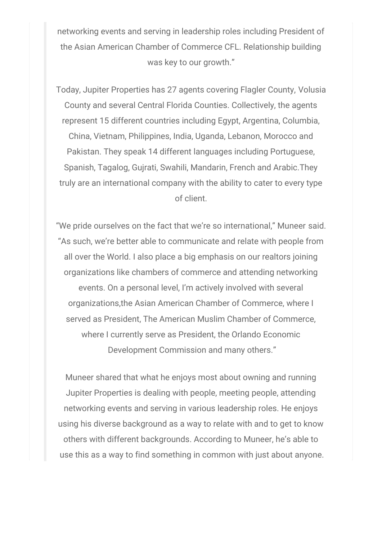networking events and serving in leadership roles including President of the Asian American Chamber of Commerce CFL. Relationship building was key to our growth."

Today, Jupiter Properties has 27 agents covering Flagler County, Volusia County and several Central Florida Counties. Collectively, the agents represent 15 different countries including Egypt, Argentina, Columbia, China, Vietnam, Philippines, India, Uganda, Lebanon, Morocco and Pakistan. They speak 14 different languages including Portuguese, Spanish, Tagalog, Gujrati, Swahili, Mandarin, French and Arabic.They truly are an international company with the ability to cater to every type of client.

"We pride ourselves on the fact that we're so international," Muneer said. "As such, we're better able to communicate and relate with people from all over the World. I also place a big emphasis on our realtors joining organizations like chambers of commerce and attending networking events. On a personal level, I'm actively involved with several organizations,the Asian American Chamber of Commerce, where I served as President, The American Muslim Chamber of Commerce, where I currently serve as President, the Orlando Economic Development Commission and many others."

Muneer shared that what he enjoys most about owning and running Jupiter Properties is dealing with people, meeting people, attending networking events and serving in various leadership roles. He enjoys using his diverse background as a way to relate with and to get to know others with different backgrounds. According to Muneer, he's able to use this as a way to find something in common with just about anyone.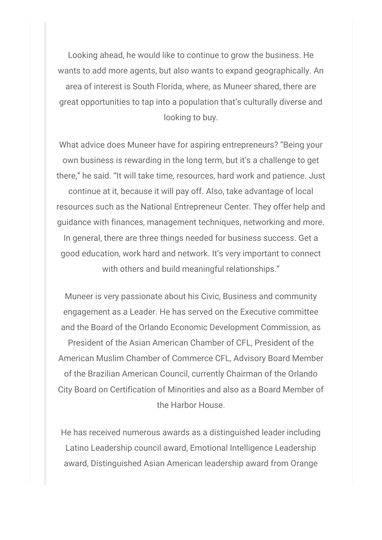Looking ahead, he would like to continue to grow the business. He wants to add more agents, but also wants to expand geographically. An area of interest is South Florida, where, as Muneer shared, there are great opportunities to tap into a population that's culturally diverse and looking to buy.

What advice does Muneer have for aspiring entrepreneurs? "Being your own business is rewarding in the long term, but it's a challenge to get there," he said. "It will take time, resources, hard work and patience. Just continue at it, because it will pay off. Also, take advantage of local resources such as the National Entrepreneur Center. They offer help and guidance with finances, management techniques, networking and more. In general, there are three things needed for business success. Get a good education, work hard and network. It's very important to connect with others and build meaningful relationships."

Muneer is very passionate about his Civic, Business and community engagement as a Leader. He has served on the Executive committee and the Board of the Orlando Economic Development Commission, as President of the Asian American Chamber of CFL, President of the American Muslim Chamber of Commerce CFL, Advisory Board Member of the Brazilian American Council, currently Chairman of the Orlando City Board on Certification of Minorities and also as a Board Member of the Harbor House.

He has received numerous awards as a distinguished leader including Latino Leadership council award, Emotional Intelligence Leadership award, Distinguished Asian American leadership award from Orange